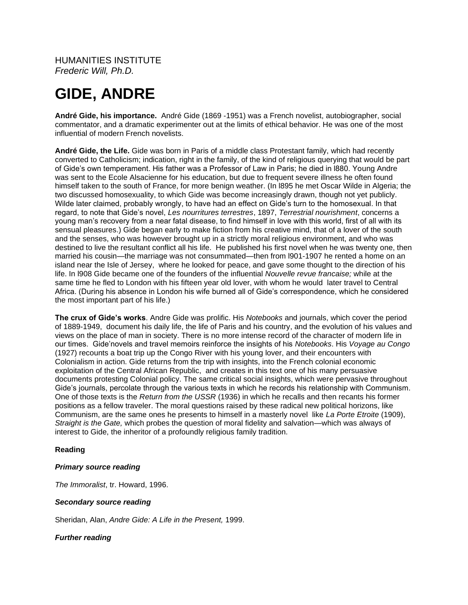HUMANITIES INSTITUTE *Frederic Will, Ph.D.*

# **GIDE, ANDRE**

**André Gide, his importance.** André Gide (1869 -1951) was a French novelist, autobiographer, social commentator, and a dramatic experimenter out at the limits of ethical behavior. He was one of the most influential of modern French novelists.

**André Gide, the Life.** Gide was born in Paris of a middle class Protestant family, which had recently converted to Catholicism; indication, right in the family, of the kind of religious querying that would be part of Gide's own temperament. His father was a Professor of Law in Paris; he died in l880. Young Andre was sent to the Ecole Alsacienne for his education, but due to frequent severe illness he often found himself taken to the south of France, for more benign weather. (In l895 he met Oscar Wilde in Algeria; the two discussed homosexuality, to which Gide was become increasingly drawn, though not yet publicly. Wilde later claimed, probably wrongly, to have had an effect on Gide's turn to the homosexual. In that regard, to note that Gide's novel, *Les nourritures terrestres*, 1897, *Terrestrial nourishment*, concerns a young man's recovery from a near fatal disease, to find himself in love with this world, first of all with its sensual pleasures.) Gide began early to make fiction from his creative mind, that of a lover of the south and the senses, who was however brought up in a strictly moral religious environment, and who was destined to live the resultant conflict all his life. He published his first novel when he was twenty one, then married his cousin—the marriage was not consummated—then from l901-1907 he rented a home on an island near the Isle of Jersey, where he looked for peace, and gave some thought to the direction of his life. In l908 Gide became one of the founders of the influential *Nouvelle revue francaise;* while at the same time he fled to London with his fifteen year old lover, with whom he would later travel to Central Africa. (During his absence in London his wife burned all of Gide's correspondence, which he considered the most important part of his life.)

**The crux of Gide's works**. Andre Gide was prolific. His *Notebooks* and journals, which cover the period of 1889-1949, document his daily life, the life of Paris and his country, and the evolution of his values and views on the place of man in society. There is no more intense record of the character of modern life in our times. Gide'novels and travel memoirs reinforce the insights of his *Notebooks*. His *Voyage au Congo* (1927) recounts a boat trip up the Congo River with his young lover, and their encounters with Colonialism in action. Gide returns from the trip with insights, into the French colonial economic exploitation of the Central African Republic, and creates in this text one of his many persuasive documents protesting Colonial policy. The same critical social insights, which were pervasive throughout Gide's journals, percolate through the various texts in which he records his relationship with Communism. One of those texts is the *Return from the USSR* (1936) in which he recalls and then recants his former positions as a fellow traveler. The moral questions raised by these radical new political horizons, like Communism, are the same ones he presents to himself in a masterly novel like *La Porte Etroite* (1909), *Straight is the Gate,* which probes the question of moral fidelity and salvation—which was always of interest to Gide, the inheritor of a profoundly religious family tradition.

## **Reading**

## *Primary source reading*

*The Immoralist*, tr. Howard, 1996.

## *Secondary source reading*

Sheridan, Alan, *Andre Gide: A Life in the Present,* 1999.

## *Further reading*